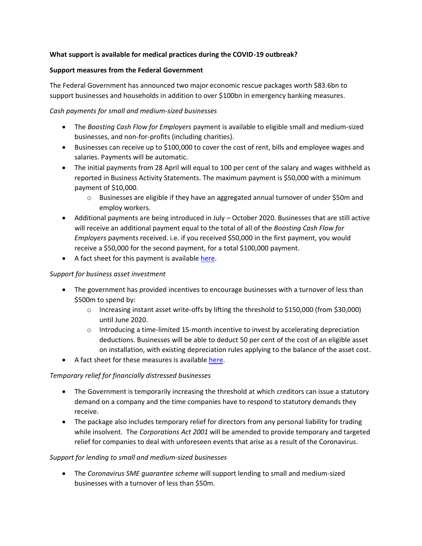## **What support is available for medical practices during the COVID-19 outbreak?**

#### **Support measures from the Federal Government**

The Federal Government has announced two major economic rescue packages worth \$83.6bn to support businesses and households in addition to over \$100bn in emergency banking measures.

## *Cash payments for small and medium-sized businesses*

- The *Boosting Cash Flow for Employers* payment is available to eligible small and medium-sized businesses, and non-for-profits (including charities).
- Businesses can receive up to \$100,000 to cover the cost of rent, bills and employee wages and salaries. Payments will be automatic.
- The initial payments from 28 April will equal to 100 per cent of the salary and wages withheld as reported in Business Activity Statements. The maximum payment is \$50,000 with a minimum payment of \$10,000.
	- o Businesses are eligible if they have an aggregated annual turnover of under \$50m and employ workers.
- Additional payments are being introduced in July October 2020. Businesses that are still active will receive an additional payment equal to the total of all of the *Boosting Cash Flow for Employers* payments received. i.e. if you received \$50,000 in the first payment, you would receive a \$50,000 for the second payment, for a total \$100,000 payment.
- A fact sheet for this payment is available [here.](https://treasury.gov.au/sites/default/files/2020-03/Fact_sheet-Cash_flow_assistance_for_businesses_0.pdf)

#### *Support for business asset investment*

- The government has provided incentives to encourage businesses with a turnover of less than \$500m to spend by:
	- o Increasing instant asset write-offs by lifting the threshold to \$150,000 (from \$30,000) until June 2020.
	- $\circ$  Introducing a time-limited 15-month incentive to invest by accelerating depreciation deductions. Businesses will be able to deduct 50 per cent of the cost of an eligible asset on installation, with existing depreciation rules applying to the balance of the asset cost.
- A fact sheet for these measures is available [here.](https://treasury.gov.au/sites/default/files/2020-03/Fact_Sheet-Delivering_support_for_business_investment.pdf)

# *Temporary relief for financially distressed businesses*

- The Government is temporarily increasing the threshold at which creditors can issue a statutory demand on a company and the time companies have to respond to statutory demands they receive.
- The package also includes temporary relief for directors from any personal liability for trading while insolvent. The *Corporations Act 2001* will be amended to provide temporary and targeted relief for companies to deal with unforeseen events that arise as a result of the Coronavirus.

#### *Support for lending to small and medium-sized businesses*

• The *Coronavirus SME guarantee scheme* will support lending to small and medium-sized businesses with a turnover of less than \$50m.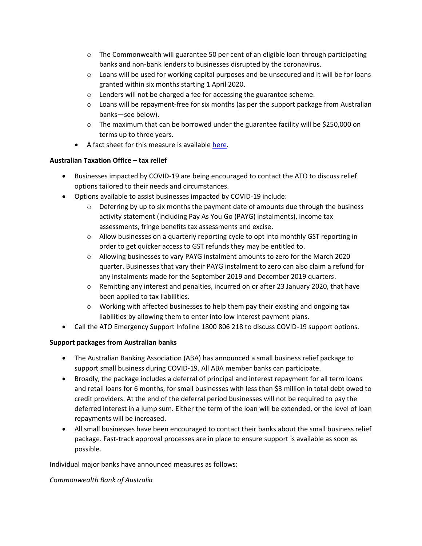- $\circ$  The Commonwealth will guarantee 50 per cent of an eligible loan through participating banks and non-bank lenders to businesses disrupted by the coronavirus.
- $\circ$  Loans will be used for working capital purposes and be unsecured and it will be for loans granted within six months starting 1 April 2020.
- o Lenders will not be charged a fee for accessing the guarantee scheme.
- $\circ$  Loans will be repayment-free for six months (as per the support package from Australian banks—see below).
- $\circ$  The maximum that can be borrowed under the guarantee facility will be \$250,000 on terms up to three years.
- A fact sheet for this measure is available [here.](https://treasury.gov.au/sites/default/files/2020-03/Fact_sheet-Supporting_the_flow_of_credit_1.pdf)

#### **Australian Taxation Office – tax relief**

- Businesses impacted by COVID-19 are being encouraged to contact the ATO to discuss relief options tailored to their needs and circumstances.
- Options available to assist businesses impacted by COVID-19 include:
	- $\circ$  Deferring by up to six months the payment date of amounts due through the business activity statement (including Pay As You Go (PAYG) instalments), income tax assessments, fringe benefits tax assessments and excise.
	- $\circ$  Allow businesses on a quarterly reporting cycle to opt into monthly GST reporting in order to get quicker access to GST refunds they may be entitled to.
	- $\circ$  Allowing businesses to vary PAYG instalment amounts to zero for the March 2020 quarter. Businesses that vary their PAYG instalment to zero can also claim a refund for any instalments made for the September 2019 and December 2019 quarters.
	- o Remitting any interest and penalties, incurred on or after 23 January 2020, that have been applied to tax liabilities.
	- $\circ$  Working with affected businesses to help them pay their existing and ongoing tax liabilities by allowing them to enter into low interest payment plans.
- Call the ATO Emergency Support Infoline 1800 806 218 to discuss COVID-19 support options.

#### **Support packages from Australian banks**

- The Australian Banking Association (ABA) has announced a small business relief package to support small business during COVID-19. All ABA member banks can participate.
- Broadly, the package includes a deferral of principal and interest repayment for all term loans and retail loans for 6 months, for small businesses with less than \$3 million in total debt owed to credit providers. At the end of the deferral period businesses will not be required to pay the deferred interest in a lump sum. Either the term of the loan will be extended, or the level of loan repayments will be increased.
- All small businesses have been encouraged to contact their banks about the small business relief package. Fast-track approval processes are in place to ensure support is available as soon as possible.

Individual major banks have announced measures as follows:

*Commonwealth Bank of Australia*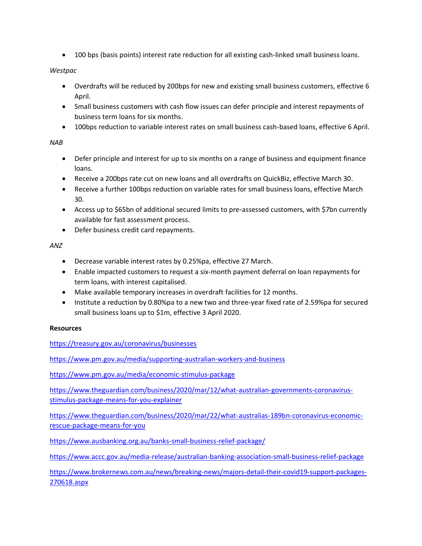• 100 bps (basis points) interest rate reduction for all existing cash-linked small business loans.

## *Westpac*

- Overdrafts will be reduced by 200bps for new and existing small business customers, effective 6 April.
- Small business customers with cash flow issues can defer principle and interest repayments of business term loans for six months.
- 100bps reduction to variable interest rates on small business cash-based loans, effective 6 April.

# *NAB*

- Defer principle and interest for up to six months on a range of business and equipment finance loans.
- Receive a 200bps rate cut on new loans and all overdrafts on QuickBiz, effective March 30.
- Receive a further 100bps reduction on variable rates for small business loans, effective March 30.
- Access up to \$65bn of additional secured limits to pre-assessed customers, with \$7bn currently available for fast assessment process.
- Defer business credit card repayments.

# *ANZ*

- Decrease variable interest rates by 0.25%pa, effective 27 March.
- Enable impacted customers to request a six-month payment deferral on loan repayments for term loans, with interest capitalised.
- Make available temporary increases in overdraft facilities for 12 months.
- Institute a reduction by 0.80%pa to a new two and three-year fixed rate of 2.59%pa for secured small business loans up to \$1m, effective 3 April 2020.

# **Resources**

<https://treasury.gov.au/coronavirus/businesses>

<https://www.pm.gov.au/media/supporting-australian-workers-and-business>

<https://www.pm.gov.au/media/economic-stimulus-package>

[https://www.theguardian.com/business/2020/mar/12/what-australian-governments-coronavirus](https://www.theguardian.com/business/2020/mar/12/what-australian-governments-coronavirus-stimulus-package-means-for-you-explainer)[stimulus-package-means-for-you-explainer](https://www.theguardian.com/business/2020/mar/12/what-australian-governments-coronavirus-stimulus-package-means-for-you-explainer)

[https://www.theguardian.com/business/2020/mar/22/what-australias-189bn-coronavirus-economic](https://www.theguardian.com/business/2020/mar/22/what-australias-189bn-coronavirus-economic-rescue-package-means-for-you)[rescue-package-means-for-you](https://www.theguardian.com/business/2020/mar/22/what-australias-189bn-coronavirus-economic-rescue-package-means-for-you)

<https://www.ausbanking.org.au/banks-small-business-relief-package/>

<https://www.accc.gov.au/media-release/australian-banking-association-small-business-relief-package>

[https://www.brokernews.com.au/news/breaking-news/majors-detail-their-covid19-support-packages-](https://www.brokernews.com.au/news/breaking-news/majors-detail-their-covid19-support-packages-270618.aspx)[270618.aspx](https://www.brokernews.com.au/news/breaking-news/majors-detail-their-covid19-support-packages-270618.aspx)